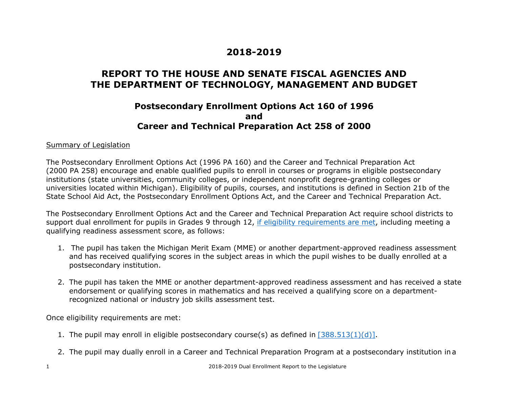# **2018-2019**

## **REPORT TO THE HOUSE AND SENATE FISCAL AGENCIES AND THE DEPARTMENT OF TECHNOLOGY, MANAGEMENT AND BUDGET**

### **Postsecondary Enrollment Options Act 160 of 1996 and Career and Technical Preparation Act 258 of 2000**

#### Summary of Legislation

The Postsecondary Enrollment Options Act (1996 PA 160) and the Career and Technical Preparation Act (2000 PA 258) encourage and enable qualified pupils to enroll in courses or programs in eligible postsecondary institutions (state universities, community colleges, or independent nonprofit degree-granting colleges or universities located within Michigan). Eligibility of pupils, courses, and institutions is defined in Section 21b of the State School Aid Act, the Postsecondary Enrollment Options Act, and the Career and Technical Preparation Act.

The Postsecondary Enrollment Options Act and the Career and Technical Preparation Act require school districts to support dual enrollment for pupils in Grades 9 through 12, if eligibility requirements are met, including meeting a qualifying readiness assessment score, as follows:

- 1. The pupil has taken the Michigan Merit Exam (MME) or another department-approved readiness assessment and has received qualifying scores in the subject areas in which the pupil wishes to be dually enrolled at a postsecondary institution.
- 2. The pupil has taken the MME or another department-approved readiness assessment and has received a state endorsement or qualifying scores in mathematics and has received a qualifying score on a departmentrecognized national or industry job skills assessment test.

Once eligibility requirements are met:

- 1. The pupil may enroll in eligible postsecondary course(s) as defined in  $[388.513(1)(d)]$ .
- 2. The pupil may dually enroll in a Career and Technical Preparation Program at a postsecondary institution in a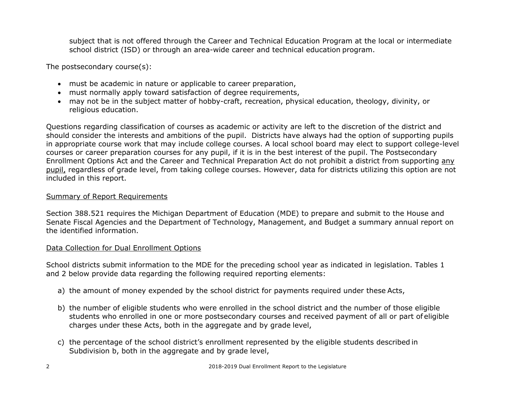subject that is not offered through the Career and Technical Education Program at the local or intermediate school district (ISD) or through an area-wide career and technical education program.

The postsecondary course(s):

- must be academic in nature or applicable to career preparation,
- must normally apply toward satisfaction of degree requirements,
- may not be in the subject matter of hobby-craft, recreation, physical education, theology, divinity, or religious education.

Questions regarding classification of courses as academic or activity are left to the discretion of the district and should consider the interests and ambitions of the pupil. Districts have always had the option of supporting pupils in appropriate course work that may include college courses. A local school board may elect to support college-level courses or career preparation courses for any pupil, if it is in the best interest of the pupil. The Postsecondary Enrollment Options Act and the Career and Technical Preparation Act do not prohibit a district from supporting any pupil, regardless of grade level, from taking college courses. However, data for districts utilizing this option are not included in this report.

#### Summary of Report Requirements

Section 388.521 requires the Michigan Department of Education (MDE) to prepare and submit to the House and Senate Fiscal Agencies and the Department of Technology, Management, and Budget a summary annual report on the identified information.

#### Data Collection for Dual Enrollment Options

School districts submit information to the MDE for the preceding school year as indicated in legislation. Tables 1 and 2 below provide data regarding the following required reporting elements:

- a) the amount of money expended by the school district for payments required under these Acts,
- b) the number of eligible students who were enrolled in the school district and the number of those eligible students who enrolled in one or more postsecondary courses and received payment of all or part of eligible charges under these Acts, both in the aggregate and by grade level,
- c) the percentage of the school district's enrollment represented by the eligible students described in Subdivision b, both in the aggregate and by grade level,